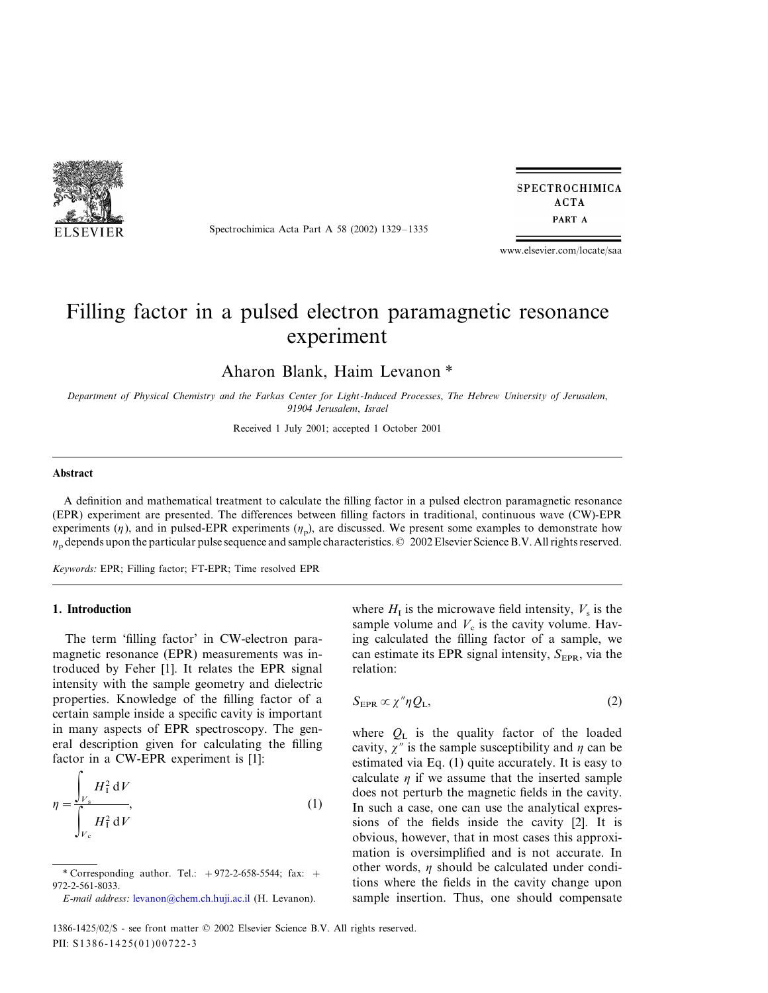

Spectrochimica Acta Part A 58 (2002) 1329–1335

**SPECTROCHIMICA ACTA** PART A

www.elsevier.com/locate/saa

# Filling factor in a pulsed electron paramagnetic resonance experiment

Aharon Blank, Haim Levanon \*

*Department of Physical Chemistry and the Farkas Center for Light*-*Induced Processes*, *The Hebrew Uniersity of Jerusalem*, 91904 *Jerusalem*, *Israel*

Received 1 July 2001; accepted 1 October 2001

#### **Abstract**

A definition and mathematical treatment to calculate the filling factor in a pulsed electron paramagnetic resonance (EPR) experiment are presented. The differences between filling factors in traditional, continuous wave (CW)-EPR experiments ( $\eta$ ), and in pulsed-EPR experiments ( $\eta_p$ ), are discussed. We present some examples to demonstrate how  $\eta_p$  depends upon the particular pulse sequence and sample characteristics. © 2002 Elsevier Science B.V. All rights reserved.

*Keywords*: EPR; Filling factor; FT-EPR; Time resolved EPR

### **1. Introduction**

The term 'filling factor' in CW-electron paramagnetic resonance (EPR) measurements was introduced by Feher [1]. It relates the EPR signal intensity with the sample geometry and dielectric properties. Knowledge of the filling factor of a certain sample inside a specific cavity is important in many aspects of EPR spectroscopy. The general description given for calculating the filling factor in a CW-EPR experiment is [1]:

$$
\eta = \frac{\int_{V_s} H_1^2 \, \mathrm{d}V}{\int_{V_c} H_1^2 \, \mathrm{d}V},\tag{1}
$$

where  $H<sub>I</sub>$  is the microwave field intensity,  $V<sub>s</sub>$  is the sample volume and  $V_c$  is the cavity volume. Having calculated the filling factor of a sample, we can estimate its EPR signal intensity,  $S_{\text{EPR}}$ , via the relation:

$$
S_{\rm EPR} \propto \chi'' \eta Q_{\rm L},\tag{2}
$$

where  $Q_L$  is the quality factor of the loaded cavity,  $\chi''$  is the sample susceptibility and  $\eta$  can be estimated via Eq. (1) quite accurately. It is easy to calculate  $\eta$  if we assume that the inserted sample does not perturb the magnetic fields in the cavity. In such a case, one can use the analytical expressions of the fields inside the cavity [2]. It is obvious, however, that in most cases this approximation is oversimplified and is not accurate. In other words,  $\eta$  should be calculated under conditions where the fields in the cavity change upon sample insertion. Thus, one should compensate

<sup>\*</sup> Corresponding author. Tel.:  $+972-2-658-5544$ ; fax:  $+$ 972-2-561-8033.

*E*-*mail address*: [levanon@chem.ch.huji.ac.il](mailto:levanon@chem.ch.huji.ac.il) (H. Levanon).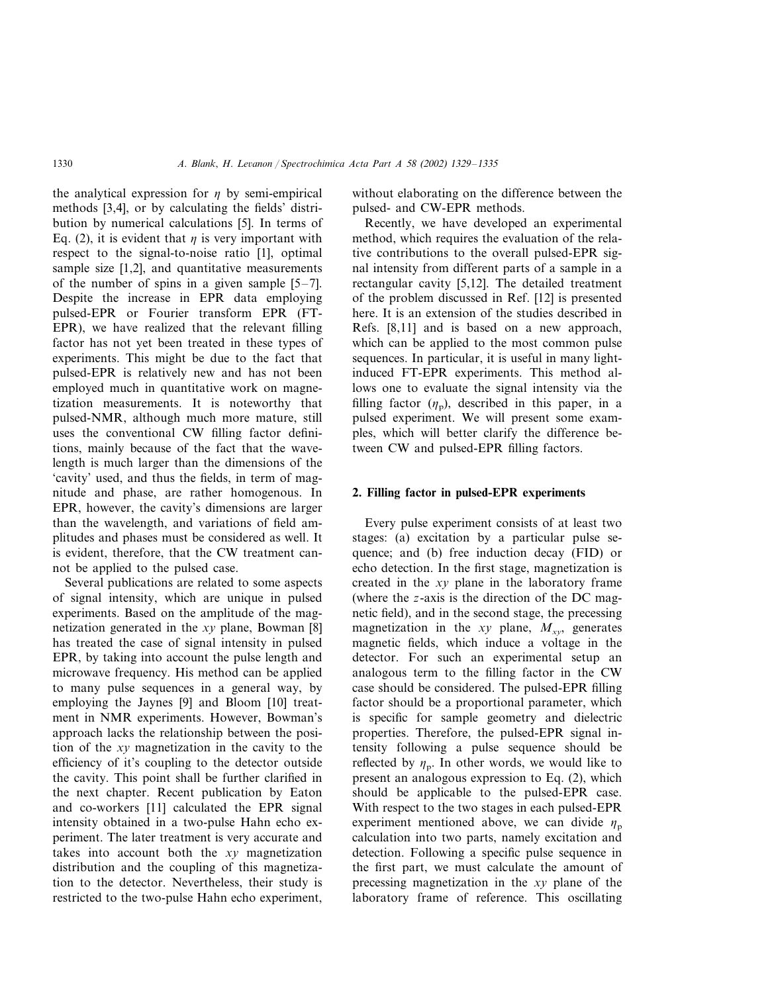the analytical expression for  $\eta$  by semi-empirical methods [3,4], or by calculating the fields' distribution by numerical calculations [5]. In terms of Eq. (2), it is evident that  $\eta$  is very important with respect to the signal-to-noise ratio [1], optimal sample size [1,2], and quantitative measurements of the number of spins in a given sample  $[5-7]$ . Despite the increase in EPR data employing pulsed-EPR or Fourier transform EPR (FT-EPR), we have realized that the relevant filling factor has not yet been treated in these types of experiments. This might be due to the fact that pulsed-EPR is relatively new and has not been employed much in quantitative work on magnetization measurements. It is noteworthy that pulsed-NMR, although much more mature, still uses the conventional CW filling factor definitions, mainly because of the fact that the wavelength is much larger than the dimensions of the 'cavity' used, and thus the fields, in term of magnitude and phase, are rather homogenous. In EPR, however, the cavity's dimensions are larger than the wavelength, and variations of field amplitudes and phases must be considered as well. It is evident, therefore, that the CW treatment cannot be applied to the pulsed case.

Several publications are related to some aspects of signal intensity, which are unique in pulsed experiments. Based on the amplitude of the magnetization generated in the *xy* plane, Bowman [8] has treated the case of signal intensity in pulsed EPR, by taking into account the pulse length and microwave frequency. His method can be applied to many pulse sequences in a general way, by employing the Jaynes [9] and Bloom [10] treatment in NMR experiments. However, Bowman's approach lacks the relationship between the position of the *xy* magnetization in the cavity to the efficiency of it's coupling to the detector outside the cavity. This point shall be further clarified in the next chapter. Recent publication by Eaton and co-workers [11] calculated the EPR signal intensity obtained in a two-pulse Hahn echo experiment. The later treatment is very accurate and takes into account both the *xy* magnetization distribution and the coupling of this magnetization to the detector. Nevertheless, their study is restricted to the two-pulse Hahn echo experiment, without elaborating on the difference between the pulsed- and CW-EPR methods.

Recently, we have developed an experimental method, which requires the evaluation of the relative contributions to the overall pulsed-EPR signal intensity from different parts of a sample in a rectangular cavity [5,12]. The detailed treatment of the problem discussed in Ref. [12] is presented here. It is an extension of the studies described in Refs. [8,11] and is based on a new approach, which can be applied to the most common pulse sequences. In particular, it is useful in many lightinduced FT-EPR experiments. This method allows one to evaluate the signal intensity via the filling factor  $(\eta_p)$ , described in this paper, in a pulsed experiment. We will present some examples, which will better clarify the difference between CW and pulsed-EPR filling factors.

## **2. Filling factor in pulsed-EPR experiments**

Every pulse experiment consists of at least two stages: (a) excitation by a particular pulse sequence; and (b) free induction decay (FID) or echo detection. In the first stage, magnetization is created in the *xy* plane in the laboratory frame (where the *z*-axis is the direction of the DC magnetic field), and in the second stage, the precessing magnetization in the  $xy$  plane,  $M_{xy}$ , generates magnetic fields, which induce a voltage in the detector. For such an experimental setup an analogous term to the filling factor in the CW case should be considered. The pulsed-EPR filling factor should be a proportional parameter, which is specific for sample geometry and dielectric properties. Therefore, the pulsed-EPR signal intensity following a pulse sequence should be reflected by  $\eta_{\rm n}$ . In other words, we would like to present an analogous expression to Eq. (2), which should be applicable to the pulsed-EPR case. With respect to the two stages in each pulsed-EPR experiment mentioned above, we can divide  $\eta_p$ calculation into two parts, namely excitation and detection. Following a specific pulse sequence in the first part, we must calculate the amount of precessing magnetization in the *xy* plane of the laboratory frame of reference. This oscillating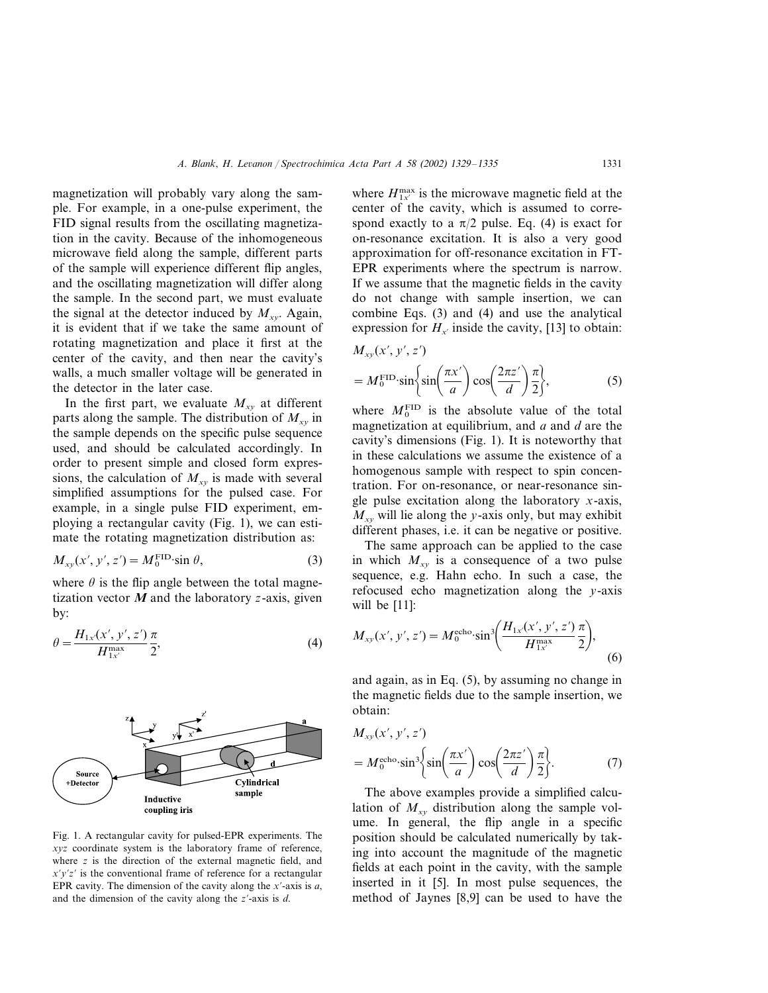magnetization will probably vary along the sample. For example, in a one-pulse experiment, the FID signal results from the oscillating magnetization in the cavity. Because of the inhomogeneous microwave field along the sample, different parts of the sample will experience different flip angles, and the oscillating magnetization will differ along the sample. In the second part, we must evaluate the signal at the detector induced by  $M_{yy}$ . Again, it is evident that if we take the same amount of rotating magnetization and place it first at the center of the cavity, and then near the cavity's walls, a much smaller voltage will be generated in the detector in the later case.

In the first part, we evaluate  $M_{xy}$  at different parts along the sample. The distribution of  $M_{xy}$  in the sample depends on the specific pulse sequence used, and should be calculated accordingly. In order to present simple and closed form expressions, the calculation of  $M_{xy}$  is made with several simplified assumptions for the pulsed case. For example, in a single pulse FID experiment, employing a rectangular cavity (Fig. 1), we can estimate the rotating magnetization distribution as:

$$
M_{xy}(x', y', z') = M_0^{\text{FID}} \sin \theta,\tag{3}
$$

where  $\theta$  is the flip angle between the total magnetization vector  $M$  and the laboratory *z*-axis, given by:

$$
\theta = \frac{H_{1x}(x', y', z')}{H_{1x'}^{\max}} \frac{\pi}{2},\tag{4}
$$



Fig. 1. A rectangular cavity for pulsed-EPR experiments. The *xyz* coordinate system is the laboratory frame of reference, where *z* is the direction of the external magnetic field, and  $x'y'z'$  is the conventional frame of reference for a rectangular EPR cavity. The dimension of the cavity along the  $x'$ -axis is  $a$ , and the dimension of the cavity along the *z*--axis is *d*.

where  $H_{1x}^{\text{max}}$  is the microwave magnetic field at the center of the cavity, which is assumed to correspond exactly to a  $\pi/2$  pulse. Eq. (4) is exact for on-resonance excitation. It is also a very good approximation for off-resonance excitation in FT-EPR experiments where the spectrum is narrow. If we assume that the magnetic fields in the cavity do not change with sample insertion, we can combine Eqs. (3) and (4) and use the analytical expression for  $H_{x}$  inside the cavity, [13] to obtain:

$$
M_{xy}(x', y', z')
$$
  
=  $M_0^{\text{FID}} \cdot \sin \left\{ \sin \left( \frac{\pi x'}{a} \right) \cos \left( \frac{2\pi z'}{d} \right) \frac{\pi}{2} \right\},$  (5)

where  $M_0^{\text{FID}}$  is the absolute value of the total magnetization at equilibrium, and *a* and *d* are the cavity's dimensions (Fig. 1). It is noteworthy that in these calculations we assume the existence of a homogenous sample with respect to spin concentration. For on-resonance, or near-resonance single pulse excitation along the laboratory *x*-axis,  $M_{xy}$  will lie along the *y*-axis only, but may exhibit different phases, i.e. it can be negative or positive.

The same approach can be applied to the case in which  $M_{yy}$  is a consequence of a two pulse sequence, e.g. Hahn echo. In such a case, the refocused echo magnetization along the *y*-axis will be [11]:

$$
M_{xy}(x', y', z') = M_0^{\text{echo}} \cdot \sin^3 \left( \frac{H_{1x}(x', y', z')}{H_{1x}^{\text{max}}} \frac{\pi}{2} \right), \tag{6}
$$

and again, as in Eq. (5), by assuming no change in the magnetic fields due to the sample insertion, we obtain:

$$
M_{xy}(x', y', z')
$$
  
=  $M_0^{\text{echo}} \cdot \sin^3 \left\{ \sin \left( \frac{\pi x'}{a} \right) \cos \left( \frac{2\pi z'}{d} \right) \frac{\pi}{2} \right\}.$  (7)

The above examples provide a simplified calculation of  $M_{xy}$  distribution along the sample volume. In general, the flip angle in a specific position should be calculated numerically by taking into account the magnitude of the magnetic fields at each point in the cavity, with the sample inserted in it [5]. In most pulse sequences, the method of Jaynes [8,9] can be used to have the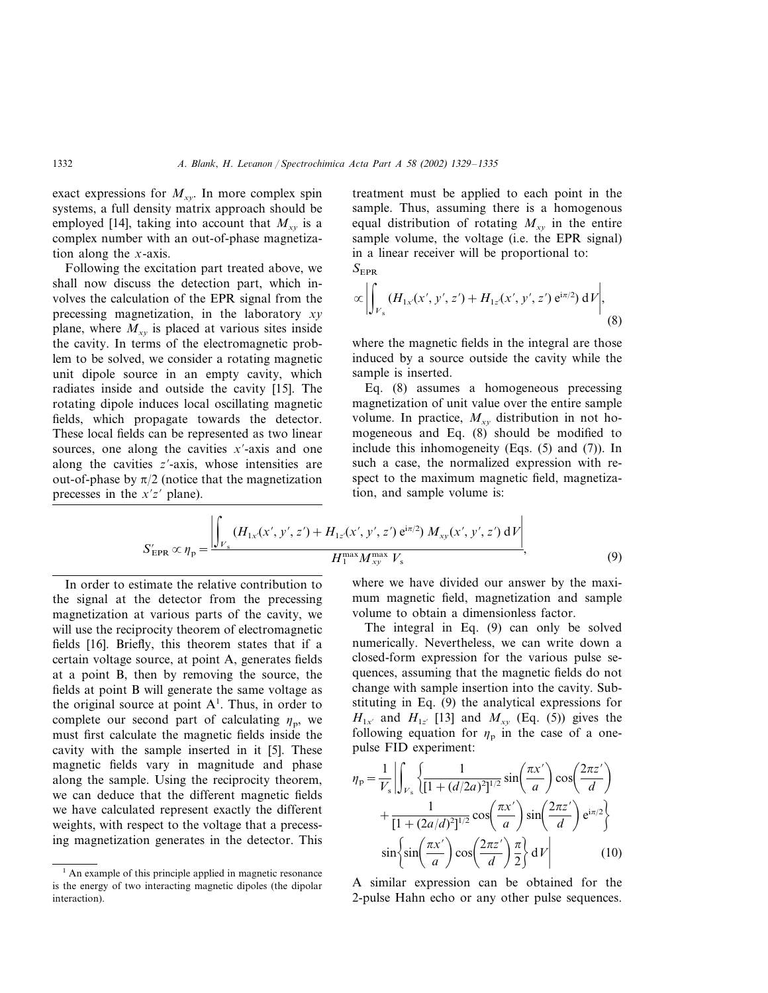exact expressions for  $M_{xy}$ . In more complex spin systems, a full density matrix approach should be employed [14], taking into account that  $M_{xy}$  is a complex number with an out-of-phase magnetization along the *x*-axis.

Following the excitation part treated above, we shall now discuss the detection part, which involves the calculation of the EPR signal from the precessing magnetization, in the laboratory *xy* plane, where  $M_{xy}$  is placed at various sites inside the cavity. In terms of the electromagnetic problem to be solved, we consider a rotating magnetic unit dipole source in an empty cavity, which radiates inside and outside the cavity [15]. The rotating dipole induces local oscillating magnetic fields, which propagate towards the detector. These local fields can be represented as two linear sources, one along the cavities  $x'$ -axis and one along the cavities *z'*-axis, whose intensities are out-of-phase by  $\pi/2$  (notice that the magnetization precesses in the *x'z'* plane).

treatment must be applied to each point in the sample. Thus, assuming there is a homogenous equal distribution of rotating  $M_{xy}$  in the entire sample volume, the voltage (i.e. the EPR signal) in a linear receiver will be proportional to: *S*EPR

$$
\propto \left| \int_{V_s} (H_{1x}(x', y', z') + H_{1z}(x', y', z') e^{i\pi/2}) dV \right|, \tag{8}
$$

where the magnetic fields in the integral are those induced by a source outside the cavity while the sample is inserted.

Eq. (8) assumes a homogeneous precessing magnetization of unit value over the entire sample volume. In practice,  $M_{xy}$  distribution in not homogeneous and Eq. (8) should be modified to include this inhomogeneity (Eqs. (5) and (7)). In such a case, the normalized expression with respect to the maximum magnetic field, magnetization, and sample volume is:

$$
S'_{\text{EPR}} \propto \eta_{\text{p}} = \frac{\left| \int_{V_{\text{s}}} (H_{1x}(x', y', z') + H_{1z}(x', y', z') e^{i\pi/2}) M_{xy}(x', y', z') dV \right|}{H_1^{\max} M_{xy}^{\max} V_{\text{s}}},\tag{9}
$$

In order to estimate the relative contribution to the signal at the detector from the precessing magnetization at various parts of the cavity, we will use the reciprocity theorem of electromagnetic fields [16]. Briefly, this theorem states that if a certain voltage source, at point A, generates fields at a point B, then by removing the source, the fields at point B will generate the same voltage as the original source at point  $A<sup>1</sup>$ . Thus, in order to complete our second part of calculating  $\eta_p$ , we must first calculate the magnetic fields inside the cavity with the sample inserted in it [5]. These magnetic fields vary in magnitude and phase along the sample. Using the reciprocity theorem, we can deduce that the different magnetic fields we have calculated represent exactly the different weights, with respect to the voltage that a precessing magnetization generates in the detector. This where we have divided our answer by the maximum magnetic field, magnetization and sample volume to obtain a dimensionless factor.

The integral in Eq. (9) can only be solved numerically. Nevertheless, we can write down a closed-form expression for the various pulse sequences, assuming that the magnetic fields do not change with sample insertion into the cavity. Substituting in Eq. (9) the analytical expressions for  $H_{1x}$  and  $H_{1z}$  [13] and  $M_{xy}$  (Eq. (5)) gives the following equation for  $\eta_p$  in the case of a onepulse FID experiment:

$$
\eta_{\rm p} = \frac{1}{V_{\rm s}} \left| \int_{V_{\rm s}} \left\{ \frac{1}{\left[1 + (d/2a)^2\right]^{1/2}} \sin\left(\frac{\pi x'}{a}\right) \cos\left(\frac{2\pi z'}{d}\right) + \frac{1}{\left[1 + (2a/d)^2\right]^{1/2}} \cos\left(\frac{\pi x'}{a}\right) \sin\left(\frac{2\pi z'}{d}\right) e^{i\pi/2} \right\} \right|
$$

$$
\sin\left\{ \sin\left(\frac{\pi x'}{a}\right) \cos\left(\frac{2\pi z'}{d}\right) \frac{\pi}{2} \right\} dV \left| \tag{10}
$$

A similar expression can be obtained for the 2-pulse Hahn echo or any other pulse sequences.

<sup>&</sup>lt;sup>1</sup> An example of this principle applied in magnetic resonance is the energy of two interacting magnetic dipoles (the dipolar interaction).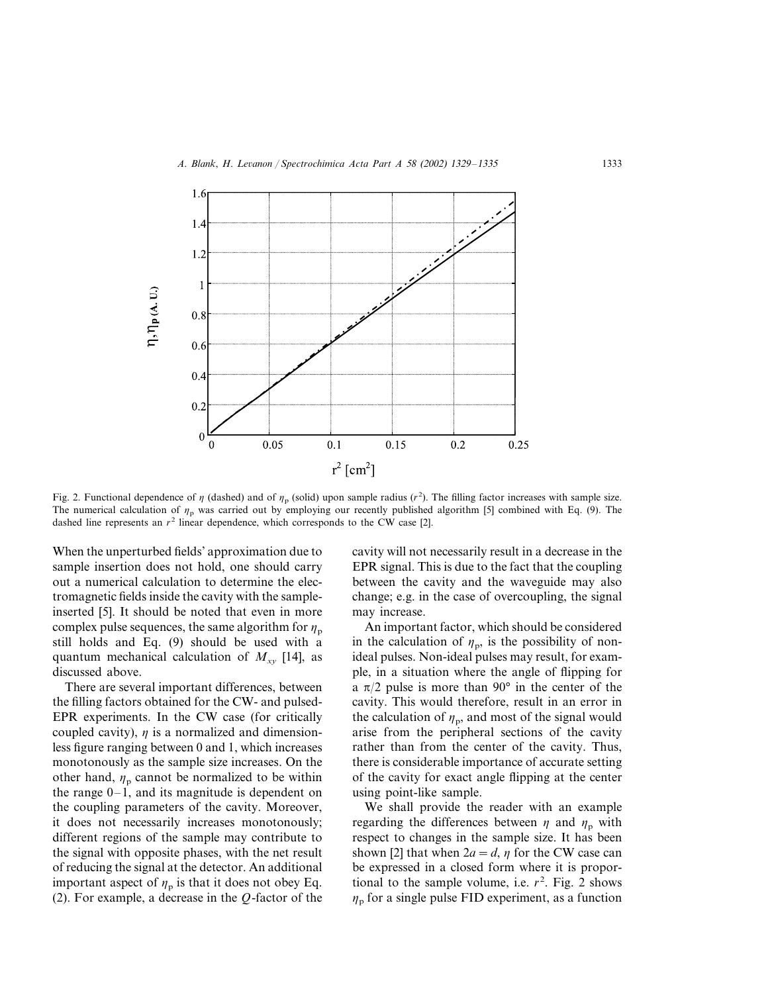

Fig. 2. Functional dependence of  $\eta$  (dashed) and of  $\eta_p$  (solid) upon sample radius ( $r^2$ ). The filling factor increases with sample size. The numerical calculation of  $\eta_p$  was carried out by employing our recently published algorithm [5] combined with Eq. (9). The dashed line represents an  $r^2$  linear dependence, which corresponds to the CW case [2].

When the unperturbed fields' approximation due to sample insertion does not hold, one should carry out a numerical calculation to determine the electromagnetic fields inside the cavity with the sampleinserted [5]. It should be noted that even in more complex pulse sequences, the same algorithm for  $\eta_p$ still holds and Eq. (9) should be used with a quantum mechanical calculation of  $M_{xy}$  [14], as discussed above.

There are several important differences, between the filling factors obtained for the CW- and pulsed-EPR experiments. In the CW case (for critically coupled cavity),  $\eta$  is a normalized and dimensionless figure ranging between 0 and 1, which increases monotonously as the sample size increases. On the other hand,  $\eta_p$  cannot be normalized to be within the range 0–1, and its magnitude is dependent on the coupling parameters of the cavity. Moreover, it does not necessarily increases monotonously; different regions of the sample may contribute to the signal with opposite phases, with the net result of reducing the signal at the detector. An additional important aspect of  $\eta_p$  is that it does not obey Eq. (2). For example, a decrease in the *Q*-factor of the cavity will not necessarily result in a decrease in the EPR signal. This is due to the fact that the coupling between the cavity and the waveguide may also change; e.g. in the case of overcoupling, the signal may increase.

An important factor, which should be considered in the calculation of  $\eta_p$ , is the possibility of nonideal pulses. Non-ideal pulses may result, for example, in a situation where the angle of flipping for a  $\pi/2$  pulse is more than 90 $\degree$  in the center of the cavity. This would therefore, result in an error in the calculation of  $\eta_p$ , and most of the signal would arise from the peripheral sections of the cavity rather than from the center of the cavity. Thus, there is considerable importance of accurate setting of the cavity for exact angle flipping at the center using point-like sample.

We shall provide the reader with an example regarding the differences between  $\eta$  and  $\eta_p$  with respect to changes in the sample size. It has been shown [2] that when  $2a = d$ ,  $\eta$  for the CW case can be expressed in a closed form where it is proportional to the sample volume, i.e.  $r^2$ . Fig. 2 shows  $\eta_p$  for a single pulse FID experiment, as a function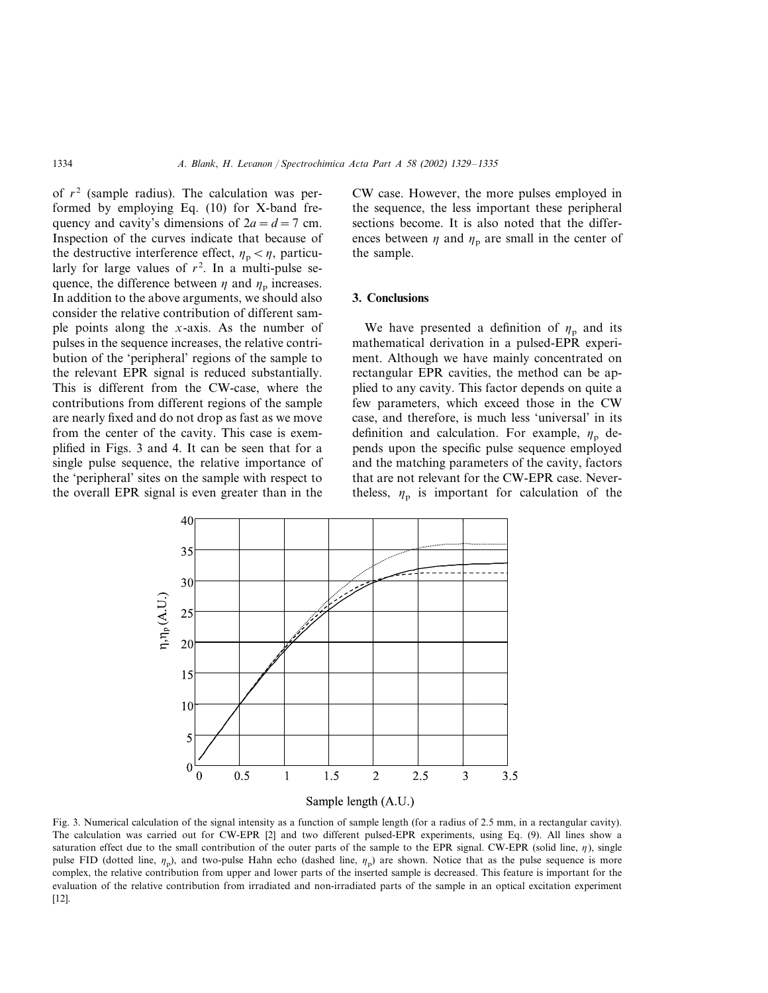of  $r<sup>2</sup>$  (sample radius). The calculation was performed by employing Eq. (10) for X-band frequency and cavity's dimensions of  $2a = d = 7$  cm. Inspection of the curves indicate that because of the destructive interference effect,  $\eta_{\rm p} < \eta$ , particularly for large values of  $r^2$ . In a multi-pulse sequence, the difference between  $\eta$  and  $\eta_p$  increases. In addition to the above arguments, we should also consider the relative contribution of different sample points along the *x*-axis. As the number of pulses in the sequence increases, the relative contribution of the 'peripheral' regions of the sample to the relevant EPR signal is reduced substantially. This is different from the CW-case, where the contributions from different regions of the sample are nearly fixed and do not drop as fast as we move from the center of the cavity. This case is exemplified in Figs. 3 and 4. It can be seen that for a single pulse sequence, the relative importance of the 'peripheral' sites on the sample with respect to the overall EPR signal is even greater than in the

CW case. However, the more pulses employed in the sequence, the less important these peripheral sections become. It is also noted that the differences between  $\eta$  and  $\eta_p$  are small in the center of the sample.

## **3. Conclusions**

We have presented a definition of  $\eta_{\rm p}$  and its mathematical derivation in a pulsed-EPR experiment. Although we have mainly concentrated on rectangular EPR cavities, the method can be applied to any cavity. This factor depends on quite a few parameters, which exceed those in the CW case, and therefore, is much less 'universal' in its definition and calculation. For example,  $\eta_p$  depends upon the specific pulse sequence employed and the matching parameters of the cavity, factors that are not relevant for the CW-EPR case. Nevertheless,  $\eta_p$  is important for calculation of the



Fig. 3. Numerical calculation of the signal intensity as a function of sample length (for a radius of 2.5 mm, in a rectangular cavity). The calculation was carried out for CW-EPR [2] and two different pulsed-EPR experiments, using Eq. (9). All lines show a saturation effect due to the small contribution of the outer parts of the sample to the EPR signal. CW-EPR (solid line,  $\eta$ ), single pulse FID (dotted line,  $\eta_p$ ), and two-pulse Hahn echo (dashed line,  $\eta_p$ ) are shown. Notice that as the pulse sequence is more complex, the relative contribution from upper and lower parts of the inserted sample is decreased. This feature is important for the evaluation of the relative contribution from irradiated and non-irradiated parts of the sample in an optical excitation experiment [12].